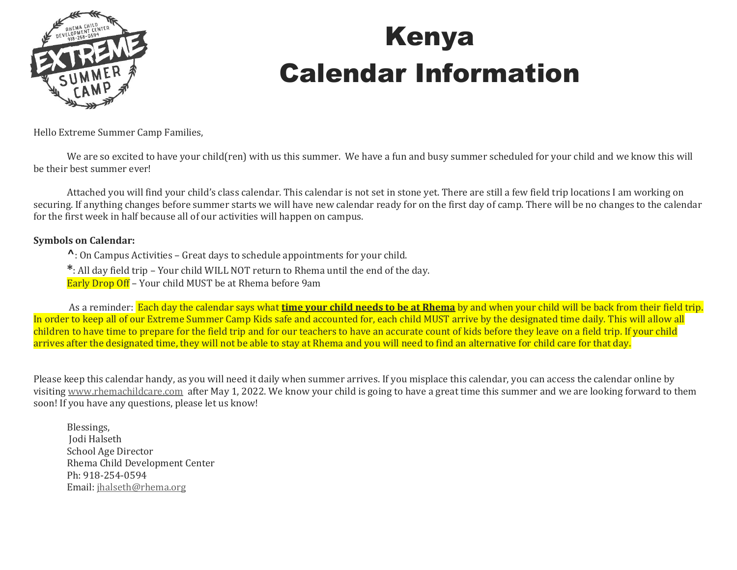

## Kenya Calendar Information

Hello Extreme Summer Camp Families,

We are so excited to have your child(ren) with us this summer. We have a fun and busy summer scheduled for your child and we know this will be their best summer ever!

Attached you will find your child's class calendar. This calendar is not set in stone yet. There are still a few field trip locations I am working on securing. If anything changes before summer starts we will have new calendar ready for on the first day of camp. There will be no changes to the calendar for the first week in half because all of our activities will happen on campus.

#### **Symbols on Calendar:**

**^**: On Campus Activities – Great days to schedule appointments for your child.

**\***: All day field trip – Your child WILL NOT return to Rhema until the end of the day.

Early Drop Off – Your child MUST be at Rhema before 9am

As a reminder: Each day the calendar says what **time your child needs to be at Rhema** by and when your child will be back from their field trip. In order to keep all of our Extreme Summer Camp Kids safe and accounted for, each child MUST arrive by the designated time daily. This will allow all children to have time to prepare for the field trip and for our teachers to have an accurate count of kids before they leave on a field trip. If your child arrives after the designated time, they will not be able to stay at Rhema and you will need to find an alternative for child care for that day.

Please keep this calendar handy, as you will need it daily when summer arrives. If you misplace this calendar, you can access the calendar online by visiting [www.rhemachildcare.com](http://www.rhemachildcare.com/) after May 1, 2022. We know your child is going to have a great time this summer and we are looking forward to them soon! If you have any questions, please let us know!

Blessings, Jodi Halseth School Age Director Rhema Child Development Center Ph: 918-254-0594 Email: [jhalseth@rhema.org](mailto:jhalseth@rhema.org)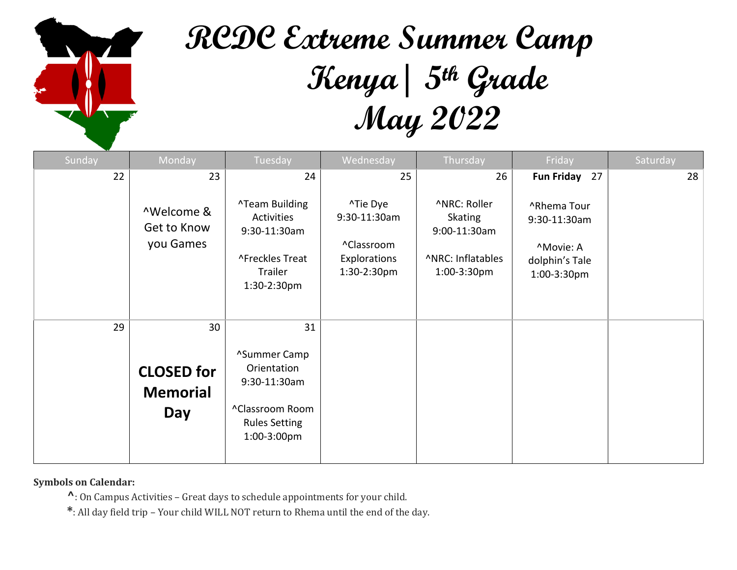

# **RCDC Extreme Summer Camp Kenya| 5th Grade May 2022**

| Sunday | Monday                                      | Tuesday                                                                                               | Wednesday                                                             | Thursday                                                                           | Friday                                                                    | Saturday |
|--------|---------------------------------------------|-------------------------------------------------------------------------------------------------------|-----------------------------------------------------------------------|------------------------------------------------------------------------------------|---------------------------------------------------------------------------|----------|
| 22     | 23                                          | 24                                                                                                    | 25                                                                    | 26                                                                                 | Fun Friday 27                                                             | 28       |
|        | ^Welcome &<br>Get to Know<br>you Games      | <b>^Team Building</b><br>Activities<br>9:30-11:30am<br>^Freckles Treat<br>Trailer<br>1:30-2:30pm      | ^Tie Dye<br>9:30-11:30am<br>^Classroom<br>Explorations<br>1:30-2:30pm | ^NRC: Roller<br><b>Skating</b><br>9:00-11:30am<br>^NRC: Inflatables<br>1:00-3:30pm | ^Rhema Tour<br>9:30-11:30am<br>^Movie: A<br>dolphin's Tale<br>1:00-3:30pm |          |
| 29     | 30                                          | 31                                                                                                    |                                                                       |                                                                                    |                                                                           |          |
|        | <b>CLOSED for</b><br><b>Memorial</b><br>Day | ^Summer Camp<br>Orientation<br>9:30-11:30am<br>^Classroom Room<br><b>Rules Setting</b><br>1:00-3:00pm |                                                                       |                                                                                    |                                                                           |          |

**Symbols on Calendar:** 

**^**: On Campus Activities – Great days to schedule appointments for your child.

**\***: All day field trip – Your child WILL NOT return to Rhema until the end of the day.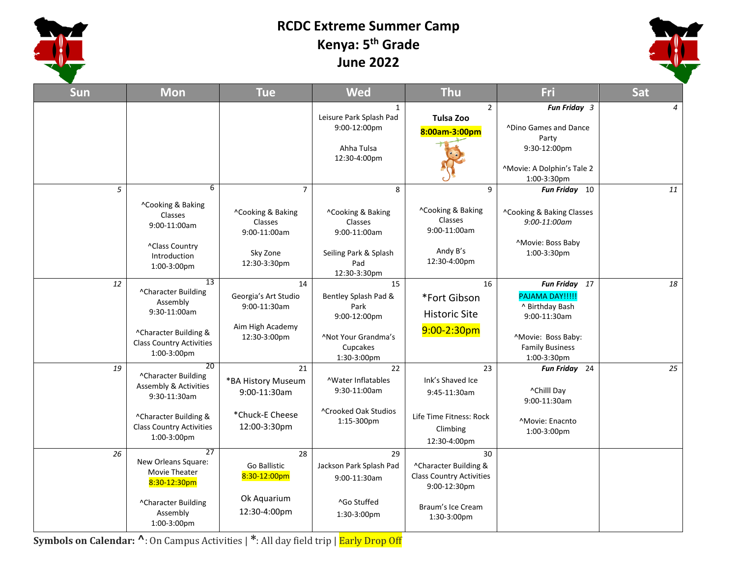

#### **RCDC Extreme Summer Camp Kenya: 5th Grade June 2022**



| Sun | <b>Mon</b>                                                                                                                                               | <b>Tue</b>                                                                                 | <b>Wed</b>                                                                                                  | <b>Thu</b>                                                                                                         | Fri                                                                                                                                | <b>Sat</b>     |
|-----|----------------------------------------------------------------------------------------------------------------------------------------------------------|--------------------------------------------------------------------------------------------|-------------------------------------------------------------------------------------------------------------|--------------------------------------------------------------------------------------------------------------------|------------------------------------------------------------------------------------------------------------------------------------|----------------|
|     |                                                                                                                                                          |                                                                                            | $\mathbf{1}$<br>Leisure Park Splash Pad<br>9:00-12:00pm<br>Ahha Tulsa<br>12:30-4:00pm                       | $\overline{2}$<br><b>Tulsa Zoo</b><br>8:00am-3:00pm                                                                | Fun Friday 3<br>^Dino Games and Dance<br>Party<br>9:30-12:00pm<br>^Movie: A Dolphin's Tale 2<br>1:00-3:30pm                        | $\overline{4}$ |
| 5   | 6<br>^Cooking & Baking<br>Classes<br>9:00-11:00am<br>^Class Country<br>Introduction<br>1:00-3:00pm                                                       | $\overline{7}$<br>^Cooking & Baking<br>Classes<br>9:00-11:00am<br>Sky Zone<br>12:30-3:30pm | 8<br>^Cooking & Baking<br>Classes<br>9:00-11:00am<br>Seiling Park & Splash<br>Pad<br>12:30-3:30pm           | 9<br>^Cooking & Baking<br><b>Classes</b><br>9:00-11:00am<br>Andy B's<br>12:30-4:00pm                               | Fun Friday 10<br>^Cooking & Baking Classes<br>9:00-11:00am<br><sup>^</sup> Movie: Boss Baby<br>1:00-3:30pm                         | 11             |
| 12  | 13<br>^Character Building<br>Assembly<br>9:30-11:00am<br>^Character Building &<br><b>Class Country Activities</b><br>1:00-3:00pm                         | 14<br>Georgia's Art Studio<br>9:00-11:30am<br>Aim High Academy<br>12:30-3:00pm             | 15<br>Bentley Splash Pad &<br>Park<br>9:00-12:00pm<br><b>^Not Your Grandma's</b><br>Cupcakes<br>1:30-3:00pm | 16<br>*Fort Gibson<br><b>Historic Site</b><br>$9:00-2:30$ pm                                                       | Fun Friday 17<br>PAJAMA DAY!!!!!<br>^ Birthday Bash<br>9:00-11:30am<br>^Movie: Boss Baby:<br><b>Family Business</b><br>1:00-3:30pm | 18             |
| 19  | 20<br>^Character Building<br><b>Assembly &amp; Activities</b><br>9:30-11:30am<br>^Character Building &<br><b>Class Country Activities</b><br>1:00-3:00pm | 21<br>*BA History Museum<br>9:00-11:30am<br>*Chuck-E Cheese<br>12:00-3:30pm                | $\overline{22}$<br><b>AWater Inflatables</b><br>9:30-11:00am<br>^Crooked Oak Studios<br>1:15-300pm          | 23<br>Ink's Shaved Ice<br>9:45-11:30am<br>Life Time Fitness: Rock<br>Climbing<br>12:30-4:00pm                      | Fun Friday 24<br>^Chilll Day<br>9:00-11:30am<br>^Movie: Enacnto<br>1:00-3:00pm                                                     | 25             |
| 26  | $\overline{27}$<br>New Orleans Square:<br>Movie Theater<br>8:30-12:30pm<br>^Character Building<br>Assembly<br>1:00-3:00pm                                | $\overline{28}$<br>Go Ballistic<br>8:30-12:00pm<br>Ok Aquarium<br>12:30-4:00pm             | 29<br>Jackson Park Splash Pad<br>9:00-11:30am<br>^Go Stuffed<br>1:30-3:00pm                                 | 30<br>^Character Building &<br><b>Class Country Activities</b><br>9:00-12:30pm<br>Braum's Ice Cream<br>1:30-3:00pm |                                                                                                                                    |                |

**Symbols on Calendar: ^**: On Campus Activities | **\***: All day field trip | Early Drop Off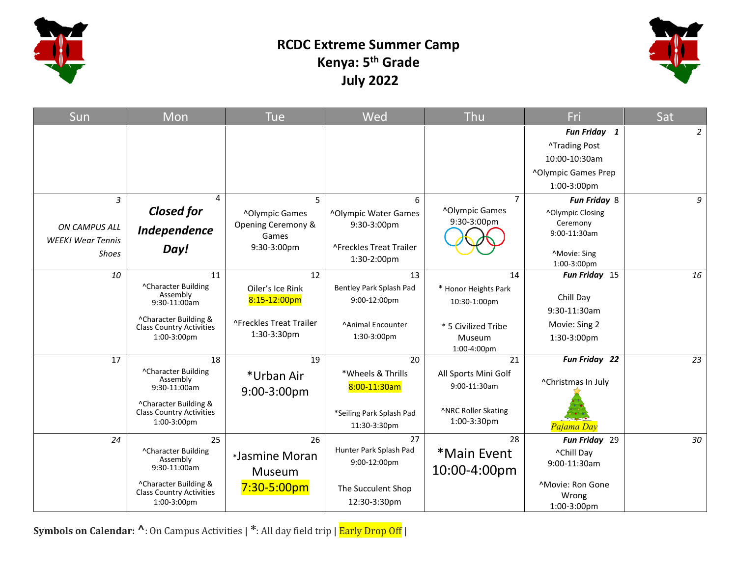

### **RCDC Extreme Summer Camp Kenya: 5th Grade July 2022**



| Sun                      | Mon                                                      | <b>Tue</b>                 | Wed                              | Thu                   | Fri                       | Sat            |
|--------------------------|----------------------------------------------------------|----------------------------|----------------------------------|-----------------------|---------------------------|----------------|
|                          |                                                          |                            |                                  |                       | Fun Friday 1              | $\overline{2}$ |
|                          |                                                          |                            |                                  |                       | <b>^Trading Post</b>      |                |
|                          |                                                          |                            |                                  |                       | 10:00-10:30am             |                |
|                          |                                                          |                            |                                  |                       | ^Olympic Games Prep       |                |
|                          |                                                          |                            |                                  |                       | 1:00-3:00pm               |                |
| 3                        | 4                                                        | 5                          | 6                                | $\overline{7}$        | Fun Friday 8              | 9              |
|                          | <b>Closed for</b>                                        | <sup>^</sup> Olympic Games | ^Olympic Water Games             | ^Olympic Games        | ^Olympic Closing          |                |
| ON CAMPUS ALL            | Independence                                             | Opening Ceremony &         | 9:30-3:00pm                      | 9:30-3:00pm           | Ceremony                  |                |
| <b>WEEK!</b> Wear Tennis |                                                          | Games                      |                                  |                       | 9:00-11:30am              |                |
| <b>Shoes</b>             | Day!                                                     | 9:30-3:00pm                | ^Freckles Treat Trailer          |                       | <b>Movie: Sing</b>        |                |
|                          |                                                          |                            | 1:30-2:00pm                      |                       | 1:00-3:00pm               |                |
| 10                       | 11                                                       | 12                         | 13                               | 14                    | Fun Friday 15             | 16             |
|                          | ^Character Building<br>Assembly                          | Oiler's Ice Rink           | Bentley Park Splash Pad          | * Honor Heights Park  | Chill Day                 |                |
|                          | 9:30-11:00am                                             | 8:15-12:00pm               | 9:00-12:00pm                     | 10:30-1:00pm          | 9:30-11:30am              |                |
|                          | ^Character Building &                                    | ^Freckles Treat Trailer    |                                  |                       |                           |                |
|                          | <b>Class Country Activities</b><br>1:00-3:00pm           | 1:30-3:30pm                | ^Animal Encounter<br>1:30-3:00pm | * 5 Civilized Tribe   | Movie: Sing 2             |                |
|                          |                                                          |                            |                                  | Museum<br>1:00-4:00pm | 1:30-3:00pm               |                |
| 17                       | 18                                                       | 19                         | 20                               | 21                    | Fun Friday 22             | 23             |
|                          | ^Character Building                                      | *Urban Air                 | *Wheels & Thrills                | All Sports Mini Golf  |                           |                |
|                          | Assembly<br>$9:30-11:00am$                               |                            | 8:00-11:30am                     | 9:00-11:30am          | ^Christmas In July        |                |
|                          |                                                          | 9:00-3:00pm                |                                  |                       |                           |                |
|                          | ^Character Building &<br><b>Class Country Activities</b> |                            | *Seiling Park Splash Pad         | ^NRC Roller Skating   |                           |                |
|                          | 1:00-3:00pm                                              |                            | 11:30-3:30pm                     | 1:00-3:30pm           | Pajama Day                |                |
| 24                       | 25                                                       | 26                         | 27                               | 28                    | Fun Friday 29             | 30             |
|                          | ^Character Building                                      | *Jasmine Moran             | Hunter Park Splash Pad           | *Main Event           | ^Chill Day                |                |
|                          | Assembly<br>9:30-11:00am                                 |                            | 9:00-12:00pm                     | 10:00-4:00pm          | 9:00-11:30am              |                |
|                          |                                                          | Museum                     |                                  |                       |                           |                |
|                          | ^Character Building &<br><b>Class Country Activities</b> | $7:30 - 5:00pm$            | The Succulent Shop               |                       | ^Movie: Ron Gone<br>Wrong |                |
|                          | 1:00-3:00pm                                              |                            | 12:30-3:30pm                     |                       | 1:00-3:00pm               |                |

**Symbols on Calendar: ^**: On Campus Activities | **\***: All day field trip | Early Drop Off |